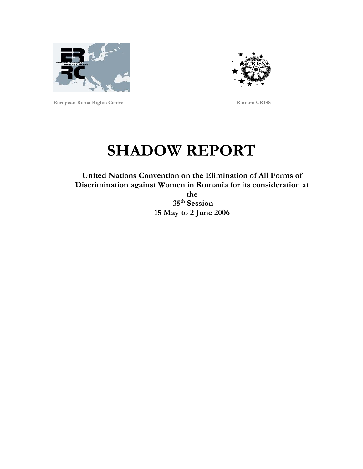



**European Roma Rights Centre Romani CRISS** 

# **SHADOW REPORT**

**United Nations Convention on the Elimination of All Forms of Discrimination against Women in Romania for its consideration at the** 

 **35th Session 15 May to 2 June 2006**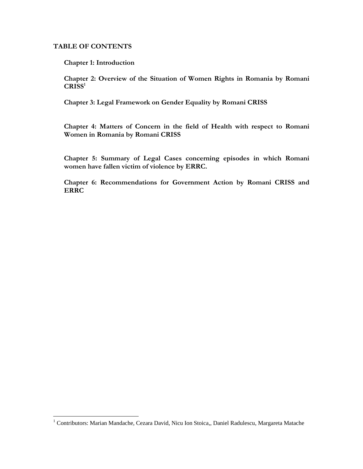#### **TABLE OF CONTENTS**

 $\overline{a}$ 

**Chapter 1: Introduction** 

**Chapter 2: Overview of the Situation of Women Rights in Romania by Romani CRISS[1](#page-1-0)**

**Chapter 3: Legal Framework on Gender Equality by Romani CRISS** 

**Chapter 4: Matters of Concern in the field of Health with respect to Romani Women in Romania by Romani CRISS** 

**Chapter 5: Summary of Legal Cases concerning episodes in which Romani women have fallen victim of violence by ERRC.** 

**Chapter 6: Recommendations for Government Action by Romani CRISS and ERRC** 

<span id="page-1-0"></span><sup>&</sup>lt;sup>1</sup> Contributors: Marian Mandache, Cezara David, Nicu Ion Stoica,, Daniel Radulescu, Margareta Matache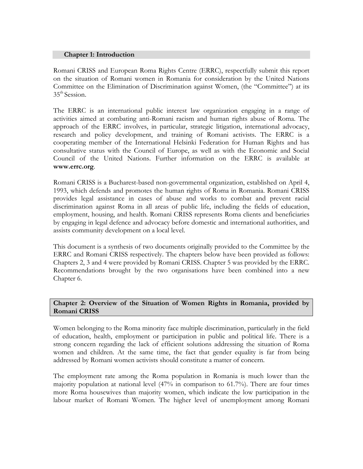#### **Chapter 1: Introduction**

Romani CRISS and European Roma Rights Centre (ERRC), respectfully submit this report on the situation of Romani women in Romania for consideration by the United Nations Committee on the Elimination of Discrimination against Women, (the "Committee") at its 35<sup>th</sup> Session.

The ERRC is an international public interest law organization engaging in a range of activities aimed at combating anti-Romani racism and human rights abuse of Roma. The approach of the ERRC involves, in particular, strategic litigation, international advocacy, research and policy development, and training of Romani activists. The ERRC is a cooperating member of the International Helsinki Federation for Human Rights and has consultative status with the Council of Europe, as well as with the Economic and Social Council of the United Nations. Further information on the ERRC is available at **www.errc.org**.

Romani CRISS is a Bucharest-based non-governmental organization, established on April 4, 1993, which defends and promotes the human rights of Roma in Romania. Romani CRISS provides legal assistance in cases of abuse and works to combat and prevent racial discrimination against Roma in all areas of public life, including the fields of education, employment, housing, and health. Romani CRISS represents Roma clients and beneficiaries by engaging in legal defence and advocacy before domestic and international authorities, and assists community development on a local level.

This document is a synthesis of two documents originally provided to the Committee by the ERRC and Romani CRISS respectively. The chapters below have been provided as follows: Chapters 2, 3 and 4 were provided by Romani CRISS. Chapter 5 was provided by the ERRC. Recommendations brought by the two organisations have been combined into a new Chapter 6.

# **Chapter 2: Overview of the Situation of Women Rights in Romania, provided by Romani CRISS**

Women belonging to the Roma minority face multiple discrimination, particularly in the field of education, health, employment or participation in public and political life. There is a strong concern regarding the lack of efficient solutions addressing the situation of Roma women and children. At the same time, the fact that gender equality is far from being addressed by Romani women activists should constitute a matter of concern.

The employment rate among the Roma population in Romania is much lower than the majority population at national level (47% in comparison to 61.7%). There are four times more Roma housewives than majority women, which indicate the low participation in the labour market of Romani Women. The higher level of unemployment among Romani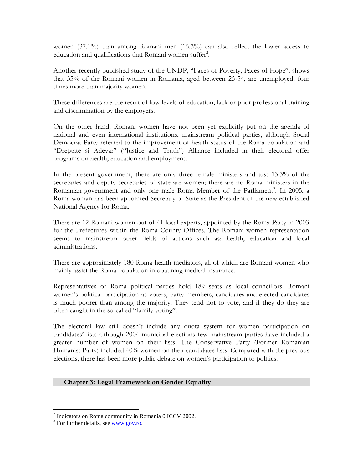women (37.1%) than among Romani men (15.3%) can also reflect the lower access to education and qualifications that Romani women suffer<sup>[2](#page-3-0)</sup>.

Another recently published study of the UNDP, "Faces of Poverty, Faces of Hope", shows that 35% of the Romani women in Romania, aged between 25-54, are unemployed, four times more than majority women.

These differences are the result of low levels of education, lack or poor professional training and discrimination by the employers.

On the other hand, Romani women have not been yet explicitly put on the agenda of national and even international institutions, mainstream political parties, although Social Democrat Party referred to the improvement of health status of the Roma population and "Dreptate si Adevar" ("Justice and Truth") Alliance included in their electoral offer programs on health, education and employment.

In the present government, there are only three female ministers and just 13.3% of the secretaries and deputy secretaries of state are women; there are no Roma ministers in the Romanian government and only one male Roma Member of the Parliament<sup>[3](#page-3-1)</sup>. In 2005, a Roma woman has been appointed Secretary of State as the President of the new established National Agency for Roma.

There are 12 Romani women out of 41 local experts, appointed by the Roma Party in 2003 for the Prefectures within the Roma County Offices. The Romani women representation seems to mainstream other fields of actions such as: health, education and local administrations.

There are approximately 180 Roma health mediators, all of which are Romani women who mainly assist the Roma population in obtaining medical insurance.

Representatives of Roma political parties hold 189 seats as local councillors. Romani women's political participation as voters, party members, candidates and elected candidates is much poorer than among the majority. They tend not to vote, and if they do they are often caught in the so-called "family voting".

The electoral law still doesn't include any quota system for women participation on candidates' lists although 2004 municipal elections few mainstream parties have included a greater number of women on their lists. The Conservative Party (Former Romanian Humanist Party) included 40% women on their candidates lists. Compared with the previous elections, there has been more public debate on women's participation to politics.

#### **Chapter 3: Legal Framework on Gender Equality**

 $\overline{a}$ 

<span id="page-3-0"></span><sup>&</sup>lt;sup>2</sup> Indicators on Roma community in Romania 0 ICCV 2002.

<span id="page-3-1"></span><sup>&</sup>lt;sup>3</sup> For further details, see [www.gov.ro](http://www.gov.ro/).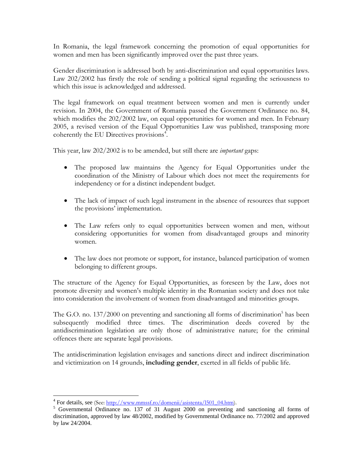In Romania, the legal framework concerning the promotion of equal opportunities for women and men has been significantly improved over the past three years.

Gender discrimination is addressed both by anti-discrimination and equal opportunities laws. Law 202/2002 has firstly the role of sending a political signal regarding the seriousness to which this issue is acknowledged and addressed.

The legal framework on equal treatment between women and men is currently under revision. In 2004, the Government of Romania passed the Government Ordinance no. 84, which modifies the 202/2002 law, on equal opportunities for women and men. In February 2005, a revised version of the Equal Opportunities Law was published, transposing more coherently the EU Directives provisions<sup>[4](#page-4-0)</sup>.

This year, law 202/2002 is to be amended, but still there are *important* gaps:

- The proposed law maintains the Agency for Equal Opportunities under the coordination of the Ministry of Labour which does not meet the requirements for independency or for a distinct independent budget.
- The lack of impact of such legal instrument in the absence of resources that support the provisions' implementation.
- The Law refers only to equal opportunities between women and men, without considering opportunities for women from disadvantaged groups and minority women.
- The law does not promote or support, for instance, balanced participation of women belonging to different groups.

The structure of the Agency for Equal Opportunities, as foreseen by the Law, does not promote diversity and women's multiple identity in the Romanian society and does not take into consideration the involvement of women from disadvantaged and minorities groups.

The G.O. no. 137/2000 on preventing and sanctioning all forms of discrimination<sup>[5](#page-4-1)</sup> has been subsequently modified three times. The discrimination deeds covered by the antidiscrimination legislation are only those of administrative nature; for the criminal offences there are separate legal provisions.

The antidiscrimination legislation envisages and sanctions direct and indirect discrimination and victimization on 14 grounds, **including gender**, exerted in all fields of public life.

<sup>4&</sup>lt;br>
<sup>4</sup> For details, see (See: <u>http://www.mmssf.ro/domenii/asistenta/l501\_04.htm</u>). 5<br>
5. Governmental, Ordinance, no. 137, of 31. Aygust 2000, on proventing.

<span id="page-4-1"></span><span id="page-4-0"></span><sup>&</sup>lt;sup>5</sup> Governmental Ordinance no. 137 of 31 August 2000 on preventing and sanctioning all forms of discrimination, approved by law 48/2002, modified by Governmental Ordinance no. 77/2002 and approved by law 24/2004.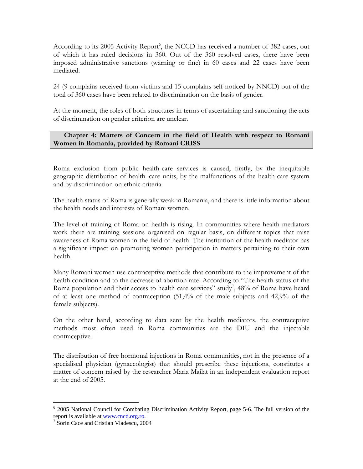According to its 2005 Activity Report<sup>[6](#page-5-0)</sup>, the NCCD has received a number of 382 cases, out of which it has ruled decisions in 360. Out of the 360 resolved cases, there have been imposed administrative sanctions (warning or fine) in 60 cases and 22 cases have been mediated.

24 (9 complains received from victims and 15 complains self-noticed by NNCD) out of the total of 360 cases have been related to discrimination on the basis of gender.

At the moment, the roles of both structures in terms of ascertaining and sanctioning the acts of discrimination on gender criterion are unclear.

# **Chapter 4: Matters of Concern in the field of Health with respect to Romani Women in Romania, provided by Romani CRISS**

Roma exclusion from public health-care services is caused, firstly, by the inequitable geographic distribution of health–care units, by the malfunctions of the health-care system and by discrimination on ethnic criteria.

The health status of Roma is generally weak in Romania, and there is little information about the health needs and interests of Romani women.

The level of training of Roma on health is rising. In communities where health mediators work there are training sessions organised on regular basis, on different topics that raise awareness of Roma women in the field of health. The institution of the health mediator has a significant impact on promoting women participation in matters pertaining to their own health.

Many Romani women use contraceptive methods that contribute to the improvement of the health condition and to the decrease of abortion rate. According to "The health status of the Roma population and their access to health care services" study<sup>[7](#page-5-1)</sup>, 48% of Roma have heard of at least one method of contraception (51,4% of the male subjects and 42,9% of the female subjects).

On the other hand, according to data sent by the health mediators, the contraceptive methods most often used in Roma communities are the DIU and the injectable contraceptive.

The distribution of free hormonal injections in Roma communities, not in the presence of a specialised physician (gynaecologist) that should prescribe these injections, constitutes a matter of concern raised by the researcher Maria Mailat in an independent evaluation report at the end of 2005.

1

<span id="page-5-0"></span><sup>&</sup>lt;sup>6</sup> 2005 National Council for Combating Discrimination Activity Report, page 5-6. The full version of the report is available at [www.cncd.org.ro.](http://www.cncd.org.ro/)

<span id="page-5-1"></span><sup>&</sup>lt;sup>7</sup> Sorin Cace and Cristian Vladescu, 2004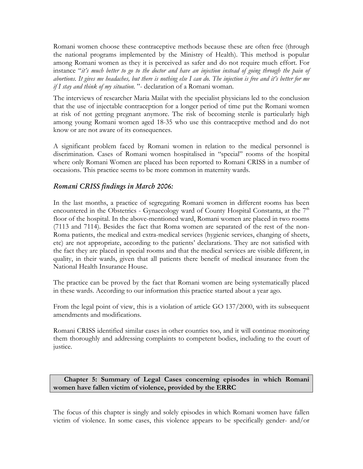Romani women choose these contraceptive methods because these are often free (through the national programs implemented by the Ministry of Health). This method is popular among Romani women as they it is perceived as safer and do not require much effort. For instance "*it's much better to go to the doctor and have an injection instead of going through the pain of abortions. It gives me headaches, but there is nothing else I can do. The injection is free and it's better for me if I stay and think of my situation.* "- declaration of a Romani woman.

The interviews of researcher Maria Mailat with the specialist physicians led to the conclusion that the use of injectable contraception for a longer period of time put the Romani women at risk of not getting pregnant anymore. The risk of becoming sterile is particularly high among young Romani women aged 18-35 who use this contraceptive method and do not know or are not aware of its consequences.

A significant problem faced by Romani women in relation to the medical personnel is discrimination. Cases of Romani women hospitalised in "special" rooms of the hospital where only Romani Women are placed has been reported to Romani CRISS in a number of occasions. This practice seems to be more common in maternity wards.

# *Romani CRISS findings in March 2006:*

In the last months, a practice of segregating Romani women in different rooms has been encountered in the Obstetrics - Gynaecology ward of County Hospital Constanta, at the  $7<sup>th</sup>$ floor of the hospital. In the above-mentioned ward, Romani women are placed in two rooms (7113 and 7114). Besides the fact that Roma women are separated of the rest of the non-Roma patients, the medical and extra-medical services (hygienic services, changing of sheets, etc) are not appropriate, according to the patients' declarations. They are not satisfied with the fact they are placed in special rooms and that the medical services are visible different, in quality, in their wards, given that all patients there benefit of medical insurance from the National Health Insurance House.

The practice can be proved by the fact that Romani women are being systematically placed in these wards. According to our information this practice started about a year ago.

From the legal point of view, this is a violation of article GO 137/2000, with its subsequent amendments and modifications.

Romani CRISS identified similar cases in other counties too, and it will continue monitoring them thoroughly and addressing complaints to competent bodies, including to the court of justice.

**Chapter 5: Summary of Legal Cases concerning episodes in which Romani women have fallen victim of violence, provided by the ERRC** 

The focus of this chapter is singly and solely episodes in which Romani women have fallen victim of violence. In some cases, this violence appears to be specifically gender- and/or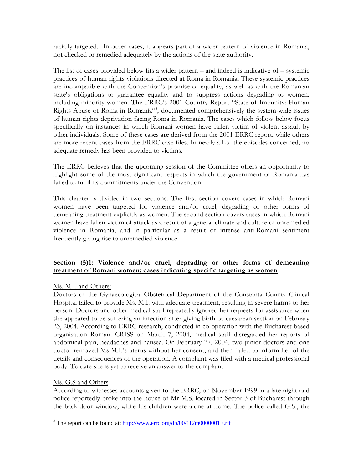racially targeted. In other cases, it appears part of a wider pattern of violence in Romania, not checked or remedied adequately by the actions of the state authority.

The list of cases provided below fits a wider pattern – and indeed is indicative of – systemic practices of human rights violations directed at Roma in Romania. These systemic practices are incompatible with the Convention's promise of equality, as well as with the Romanian state's obligations to guarantee equality and to suppress actions degrading to women, including minority women. The ERRC's 2001 Country Report "State of Impunity: Human Rights Abuse of Roma in Romania"[8](#page-7-0) , documented comprehensively the system-wide issues of human rights deprivation facing Roma in Romania. The cases which follow below focus specifically on instances in which Romani women have fallen victim of violent assault by other individuals. Some of these cases are derived from the 2001 ERRC report, while others are more recent cases from the ERRC case files. In nearly all of the episodes concerned, no adequate remedy has been provided to victims.

The ERRC believes that the upcoming session of the Committee offers an opportunity to highlight some of the most significant respects in which the government of Romania has failed to fulfil its commitments under the Convention.

This chapter is divided in two sections. The first section covers cases in which Romani women have been targeted for violence and/or cruel, degrading or other forms of demeaning treatment explicitly as women. The second section covers cases in which Romani women have fallen victim of attack as a result of a general climate and culture of unremedied violence in Romania, and in particular as a result of intense anti-Romani sentiment frequently giving rise to unremedied violence.

# **Section (5)1: Violence and/or cruel, degrading or other forms of demeaning treatment of Romani women; cases indicating specific targeting as women**

# Ms. M.I. and Others:

Doctors of the Gynaecological-Obstetrical Department of the Constanta County Clinical Hospital failed to provide Ms. M.I. with adequate treatment, resulting in severe harms to her person. Doctors and other medical staff repeatedly ignored her requests for assistance when she appeared to be suffering an infection after giving birth by caesarean section on February 23, 2004. According to ERRC research, conducted in co-operation with the Bucharest-based organisation Romani CRISS on March 7, 2004, medical staff disregarded her reports of abdominal pain, headaches and nausea. On February 27, 2004, two junior doctors and one doctor removed Ms M.I.'s uterus without her consent, and then failed to inform her of the details and consequences of the operation. A complaint was filed with a medical professional body. To date she is yet to receive an answer to the complaint.

# Ms. G.S and Others

 $\overline{a}$ 

According to witnesses accounts given to the ERRC, on November 1999 in a late night raid police reportedly broke into the house of Mr M.S. located in Sector 3 of Bucharest through the back-door window, while his children were alone at home. The police called G.S., the

<span id="page-7-0"></span><sup>&</sup>lt;sup>8</sup> The report can be found at:  $\frac{http://www.erre.org/db/00/1E/m0000001E.rtf}{http://www.erre.org/db/00/1E/m0000001E.rtf}$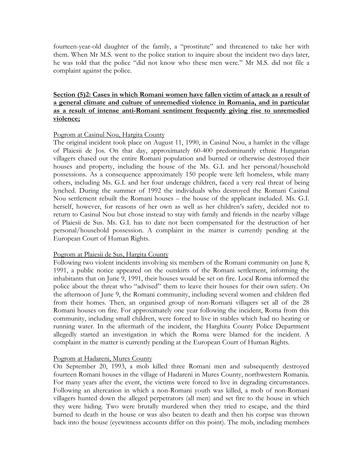fourteen-year-old daughter of the family, a "prostitute" and threatened to take her with them. When Mr M.S. went to the police station to inquire about the incident two days later, he was told that the police "did not know who these men were." Mr M.S. did not file a complaint against the police.

# **Section (5)2: Cases in which Romani women have fallen victim of attack as a result of a general climate and culture of unremedied violence in Romania, and in particular as a result of intense anti-Romani sentiment frequently giving rise to unremedied violence;**

### Pogrom at Casinul Nou, Hargita County

The original incident took place on August 11, 1990, in Casinul Nou, a hamlet in the village of Plaiesii de Jos. On that day, approximately 60-400 predominantly ethnic Hungarian villagers chased out the entire Romani population and burned or otherwise destroyed their houses and property, including the house of the Ms. G.I. and her personal/household possessions. As a consequence approximately 150 people were left homeless, while many others, including Ms. G.I. and her four underage children, faced a very real threat of being lynched. During the summer of 1992 the individuals who destroyed the Romani Casinul Nou settlement rebuilt the Romani houses – the house of the applicant included. Ms. G.I. herself, however, for reasons of her own as well as her children's safety, decided not to return to Casinul Nou but chose instead to stay with family and friends in the nearby village of Plaiesii de Sus. Ms. G.I. has to date not been compensated for the destruction of her personal/household possession. A complaint in the matter is currently pending at the European Court of Human Rights.

#### Pogrom at Plaiesii de Sus, Hargita County

Following two violent incidents involving six members of the Romani community on June 8, 1991, a public notice appeared on the outskirts of the Romani settlement, informing the inhabitants that on June 9, 1991, their houses would be set on fire. Local Roma informed the police about the threat who "advised" them to leave their houses for their own safety. On the afternoon of June 9, the Romani community, including several women and children fled from their homes. Then, an organised group of non-Romani villagers set all of the 28 Romani houses on fire. For approximately one year following the incident, Roma from this community, including small children, were forced to live in stables which had no heating or running water. In the aftermath of the incident, the Harghita County Police Department allegedly started an investigation in which the Roma were blamed for the incident. A complaint in the matter is currently pending at the European Court of Human Rights.

#### Pogrom at Hadareni, Mures County

On September 20, 1993, a mob killed three Romani men and subsequently destroyed fourteen Romani houses in the village of Hadareni in Mures County, northwestern Romania. For many years after the event, the victims were forced to live in degrading circumstances. Following an altercation in which a non-Romani youth was killed, a mob of non-Romani villagers hunted down the alleged perpetrators (all men) and set fire to the house in which they were hiding. Two were brutally murdered when they tried to escape, and the third burned to death in the house or was also beaten to death and then his corpse was thrown back into the house (eyewitness accounts differ on this point). The mob, including members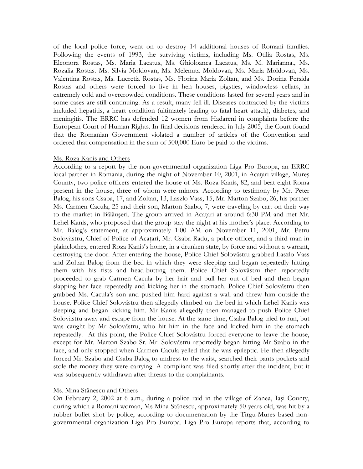of the local police force, went on to destroy 14 additional houses of Romani families. Following the events of 1993, the surviving victims, including Ms. Otilia Rostas, Ms. Eleonora Rostas, Ms. Maria Lacatus, Ms. Ghioloanca Lacatus, Ms. M. Marianna., Ms. Rozalia Rostas. Ms. Silvia Moldovan, Ms. Melenuta Moldovan, Ms. Maria Moldovan, Ms. Valentina Rostas, Ms. Lucretia Rostas, Ms. Florina Maria Zoltan, and Ms. Dorina Persida Rostas and others were forced to live in hen houses, pigsties, windowless cellars, in extremely cold and overcrowded conditions. These conditions lasted for several years and in some cases are still continuing. As a result, many fell ill. Diseases contracted by the victims included hepatitis, a heart condition (ultimately leading to fatal heart attack), diabetes, and meningitis. The ERRC has defended 12 women from Hadareni in complaints before the European Court of Human Rights. In final decisions rendered in July 2005, the Court found that the Romanian Government violated a number of articles of the Convention and ordered that compensation in the sum of 500,000 Euro be paid to the victims.

#### Ms. Roza Kanis and Others

According to a report by the non-governmental organisation Liga Pro Europa, an ERRC local partner in Romania, during the night of November 10, 2001, in Acatari village, Mures County, two police officers entered the house of Ms. Roza Kanis, 82, and beat eight Roma present in the house, three of whom were minors. According to testimony by Mr. Peter Balog, his sons Csaba, 17, and Zoltan, 13, Laszlo Vass, 15, Mr. Marton Szabo, 26, his partner Ms. Carmen Cacula, 25 and their son, Marton Szabo, 7, were traveling by cart on their way to the market in Bălăuşeri. The group arrived in Acaţari at around 6:30 PM and met Mr. Lehel Kanis, who proposed that the group stay the night at his mother's place. According to Mr. Balog's statement, at approximately 1:00 AM on November 11, 2001, Mr. Petru Solovăstru, Chief of Police of Acaţari, Mr. Csaba Radu, a police officer, and a third man in plainclothes, entered Roza Kanis's home, in a drunken state, by force and without a warrant, destroying the door. After entering the house, Police Chief Solovăstru grabbed Laszlo Vass and Zoltan Balog from the bed in which they were sleeping and began repeatedly hitting them with his fists and head-butting them. Police Chief Solovăstru then reportedly proceeded to grab Carmen Cacula by her hair and pull her out of bed and then began slapping her face repeatedly and kicking her in the stomach. Police Chief Solovăstru then grabbed Ms. Cacula's son and pushed him hard against a wall and threw him outside the house. Police Chief Solovăstru then allegedly climbed on the bed in which Lehel Kanis was sleeping and began kicking him. Mr Kanis allegedly then managed to push Police Chief Solovăstru away and escape from the house. At the same time, Csaba Balog tried to run, but was caught by Mr Solovăstru, who hit him in the face and kicked him in the stomach repeatedly. At this point, the Police Chief Solovăstru forced everyone to leave the house, except for Mr. Marton Szabo Sr. Mr. Solovăstru reportedly began hitting Mr Szabo in the face, and only stopped when Carmen Cacula yelled that he was epileptic. He then allegedly forced Mr. Szabo and Csaba Balog to undress to the waist, searched their pants pockets and stole the money they were carrying. A compliant was filed shortly after the incident, but it was subsequently withdrawn after threats to the complainants.

#### Ms. Mina Stănescu and Others

On February 2, 2002 at 6 a.m., during a police raid in the village of Zanea, Iaşi County, during which a Romani woman, Ms Mina Stănescu, approximately 50-years-old, was hit by a rubber bullet shot by police, according to documentation by the Tirgu-Mures based nongovernmental organization Liga Pro Europa. Liga Pro Europa reports that, according to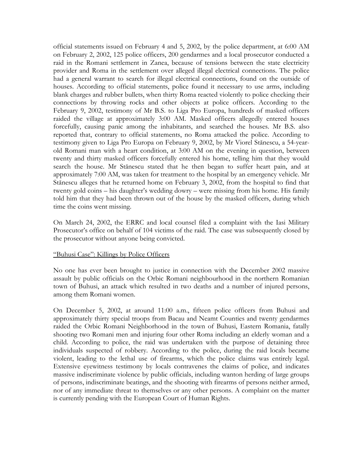official statements issued on February 4 and 5, 2002, by the police department, at 6:00 AM on February 2, 2002, 125 police officers, 200 gendarmes and a local prosecutor conducted a raid in the Romani settlement in Zanea, because of tensions between the state electricity provider and Roma in the settlement over alleged illegal electrical connections. The police had a general warrant to search for illegal electrical connections, found on the outside of houses. According to official statements, police found it necessary to use arms, including blank charges and rubber bullets, when thirty Roma reacted violently to police checking their connections by throwing rocks and other objects at police officers. According to the February 9, 2002, testimony of Mr B.S. to Liga Pro Europa, hundreds of masked officers raided the village at approximately 3:00 AM. Masked officers allegedly entered houses forcefully, causing panic among the inhabitants, and searched the houses. Mr B.S. also reported that, contrary to official statements, no Roma attacked the police. According to testimony given to Liga Pro Europa on February 9, 2002, by Mr Viorel Stănescu, a 54-yearold Romani man with a heart condition, at 3:00 AM on the evening in question, between twenty and thirty masked officers forcefully entered his home, telling him that they would search the house. Mr Stănescu stated that he then began to suffer heart pain, and at approximately 7:00 AM, was taken for treatment to the hospital by an emergency vehicle. Mr Stănescu alleges that he returned home on February 3, 2002, from the hospital to find that twenty gold coins – his daughter's wedding dowry – were missing from his home. His family told him that they had been thrown out of the house by the masked officers, during which time the coins went missing.

On March 24, 2002, the ERRC and local counsel filed a complaint with the Iasi Military Prosecutor's office on behalf of 104 victims of the raid. The case was subsequently closed by the prosecutor without anyone being convicted.

#### "Buhusi Case": Killings by Police Officers

No one has ever been brought to justice in connection with the December 2002 massive assault by public officials on the Orbic Romani neighbourhood in the northern Romanian town of Buhusi, an attack which resulted in two deaths and a number of injured persons, among them Romani women.

On December 5, 2002, at around 11:00 a.m., fifteen police officers from Buhusi and approximately thirty special troops from Bacau and Neamt Counties and twenty gendarmes raided the Orbic Romani Neighborhood in the town of Buhusi, Eastern Romania, fatally shooting two Romani men and injuring four other Roma including an elderly woman and a child. According to police, the raid was undertaken with the purpose of detaining three individuals suspected of robbery. According to the police, during the raid locals became violent, leading to the lethal use of firearms, which the police claims was entirely legal. Extensive eyewitness testimony by locals contravenes the claims of police, and indicates massive indiscriminate violence by public officials, including wanton herding of large groups of persons, indiscriminate beatings, and the shooting with firearms of persons neither armed, nor of any immediate threat to themselves or any other persons. A complaint on the matter is currently pending with the European Court of Human Rights.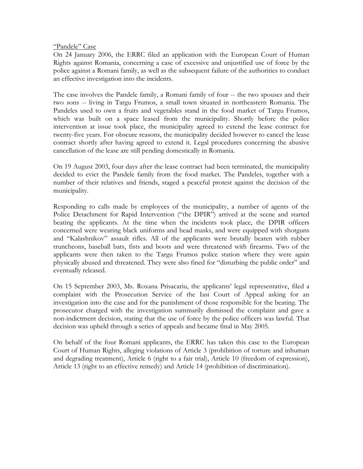#### "Pandele" Case

On 24 January 2006, the ERRC filed an application with the European Court of Human Rights against Romania, concerning a case of excessive and unjustified use of force by the police against a Romani family, as well as the subsequent failure of the authorities to conduct an effective investigation into the incidents.

The case involves the Pandele family, a Romani family of four -- the two spouses and their two sons -- living in Targu Frumos, a small town situated in northeastern Romania. The Pandeles used to own a fruits and vegetables stand in the food market of Targu Frumos, which was built on a space leased from the municipality. Shortly before the police intervention at issue took place, the municipality agreed to extend the lease contract for twenty-five years. For obscure reasons, the municipality decided however to cancel the lease contract shortly after having agreed to extend it. Legal procedures concerning the abusive cancellation of the lease are still pending domestically in Romania.

On 19 August 2003, four days after the lease contract had been terminated, the municipality decided to evict the Pandele family from the food market. The Pandeles, together with a number of their relatives and friends, staged a peaceful protest against the decision of the municipality.

Responding to calls made by employees of the municipality, a number of agents of the Police Detachment for Rapid Intervention ("the DPIR") arrived at the scene and started beating the applicants. At the time when the incidents took place, the DPIR officers concerned were wearing black uniforms and head masks, and were equipped with shotguns and "Kalashnikov" assault rifles. All of the applicants were brutally beaten with rubber truncheons, baseball bats, fists and boots and were threatened with firearms. Two of the applicants were then taken to the Targu Frumos police station where they were again physically abused and threatened. They were also fined for "disturbing the public order" and eventually released.

On 15 September 2003, Ms. Roxana Prisacariu, the applicants' legal representative, filed a complaint with the Prosecution Service of the Iasi Court of Appeal asking for an investigation into the case and for the punishment of those responsible for the beating. The prosecutor charged with the investigation summarily dismissed the complaint and gave a non-indictment decision, stating that the use of force by the police officers was lawful. That decision was upheld through a series of appeals and became final in May 2005.

On behalf of the four Romani applicants, the ERRC has taken this case to the European Court of Human Rights, alleging violations of Article 3 (prohibition of torture and inhuman and degrading treatment), Article 6 (right to a fair trial), Article 10 (freedom of expression), Article 13 (right to an effective remedy) and Article 14 (prohibition of discrimination).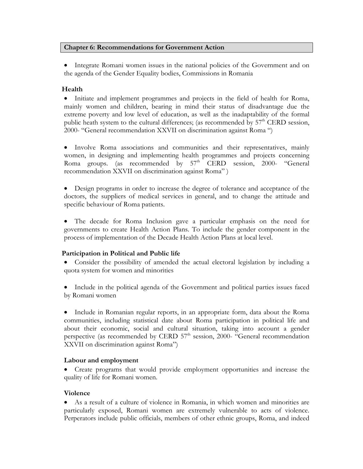# **Chapter 6: Recommendations for Government Action**

• Integrate Romani women issues in the national policies of the Government and on the agenda of the Gender Equality bodies, Commissions in Romania

# **Health**

• Initiate and implement programmes and projects in the field of health for Roma, mainly women and children, bearing in mind their status of disadvantage due the extreme poverty and low level of education, as well as the inadaptability of the formal public heath system to the cultural differences; (as recommended by  $57<sup>th</sup> CERD$  session, 2000- "General recommendation XXVII on discrimination against Roma ")

• Involve Roma associations and communities and their representatives, mainly women, in designing and implementing health programmes and projects concerning Roma groups. (as recommended by  $57<sup>th</sup>$  CERD session, 2000- "General recommendation XXVII on discrimination against Roma" )

• Design programs in order to increase the degree of tolerance and acceptance of the doctors, the suppliers of medical services in general, and to change the attitude and specific behaviour of Roma patients.

• The decade for Roma Inclusion gave a particular emphasis on the need for governments to create Health Action Plans. To include the gender component in the process of implementation of the Decade Health Action Plans at local level.

# **Participation in Political and Public life**

• Consider the possibility of amended the actual electoral legislation by including a quota system for women and minorities

• Include in the political agenda of the Government and political parties issues faced by Romani women

• Include in Romanian regular reports, in an appropriate form, data about the Roma communities, including statistical date about Roma participation in political life and about their economic, social and cultural situation, taking into account a gender perspective (as recommended by CERD  $57<sup>th</sup>$  session, 2000- "General recommendation XXVII on discrimination against Roma")

# **Labour and employment**

• Create programs that would provide employment opportunities and increase the quality of life for Romani women.

# **Violence**

• As a result of a culture of violence in Romania, in which women and minorities are particularly exposed, Romani women are extremely vulnerable to acts of violence. Perperators include public officials, members of other ethnic groups, Roma, and indeed